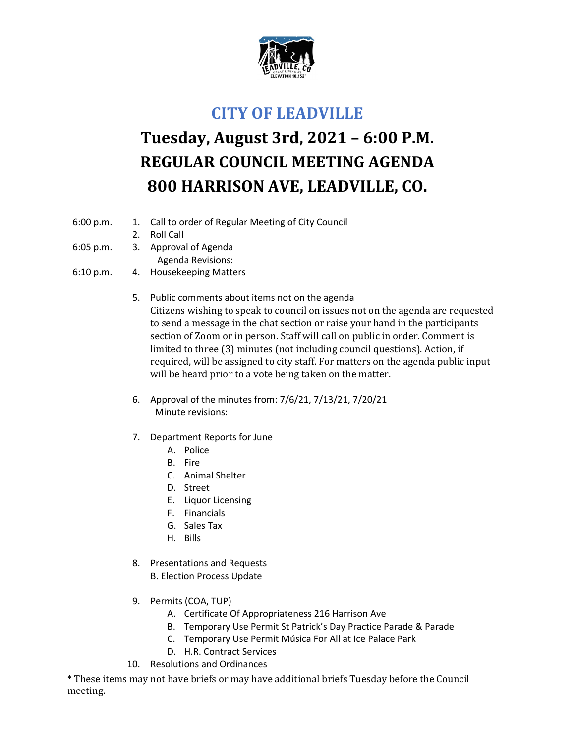

## **CITY OF LEADVILLE**

## **Tuesday, August 3rd, 2021 – 6:00 P.M. REGULAR COUNCIL MEETING AGENDA 800 HARRISON AVE, LEADVILLE, CO.**

- 6:00 p.m. 1. Call to order of Regular Meeting of City Council
	- 2. Roll Call
- 6:05 p.m. 3. Approval of Agenda
	- Agenda Revisions:
- 6:10 p.m. 4. Housekeeping Matters
	- 5. Public comments about items not on the agenda Citizens wishing to speak to council on issues not on the agenda are requested to send a message in the chat section or raise your hand in the participants section of Zoom or in person. Staff will call on public in order. Comment is limited to three (3) minutes (not including council questions). Action, if required, will be assigned to city staff. For matters on the agenda public input will be heard prior to a vote being taken on the matter.
	- 6. Approval of the minutes from: 7/6/21, 7/13/21, 7/20/21 Minute revisions:
	- 7. Department Reports for June
		- A. Police
		- B. Fire
		- C. Animal Shelter
		- D. Street
		- E. Liquor Licensing
		- F. Financials
		- G. Sales Tax
		- H. Bills
	- 8. Presentations and Requests
		- B. Election Process Update
	- 9. Permits (COA, TUP)
		- A. Certificate Of Appropriateness 216 Harrison Ave
		- B. Temporary Use Permit St Patrick's Day Practice Parade & Parade
		- C. Temporary Use Permit Música For All at Ice Palace Park
		- D. H.R. Contract Services
	- 10. Resolutions and Ordinances

\* These items may not have briefs or may have additional briefs Tuesday before the Council meeting.